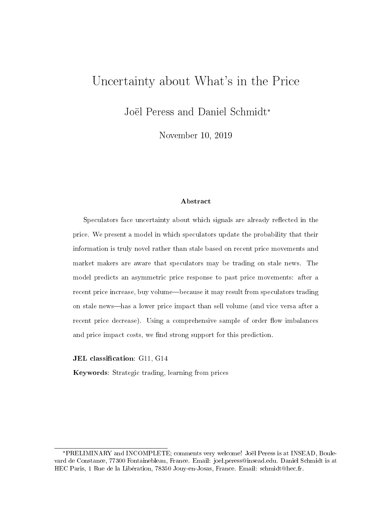# Uncertainty about What's in the Price

Joël Peress and Daniel Schmidt\*

November 10, 2019

#### Abstract

Speculators face uncertainty about which signals are already reflected in the price. We present a model in which speculators update the probability that their information is truly novel rather than stale based on recent price movements and market makers are aware that speculators may be trading on stale news. The model predicts an asymmetric price response to past price movements: after a recent price increase, buy volume—because it may result from speculators trading on stale newshas a lower price impact than sell volume (and vice versa after a recent price decrease). Using a comprehensive sample of order flow imbalances and price impact costs, we find strong support for this prediction.

JEL classification: G11, G14

Keywords: Strategic trading, learning from prices

<sup>\*</sup>PRELIMINARY and INCOMPLETE; comments very welcome! Joël Peress is at INSEAD, Boulevard de Constance, 77300 Fontainebleau, France. Email: joel.peress@insead.edu. Daniel Schmidt is at HEC Paris, 1 Rue de la Libération, 78350 Jouy-en-Josas, France. Email: schmidt@hec.fr.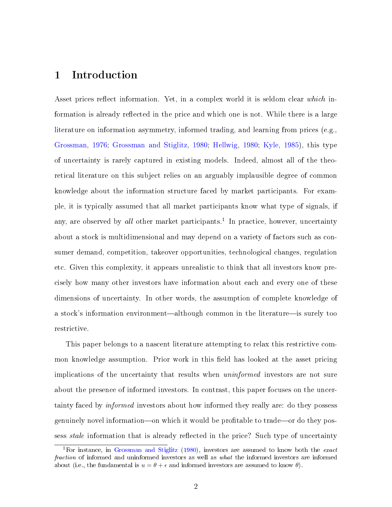## 1 Introduction

Asset prices reflect information. Yet, in a complex world it is seldom clear which information is already reflected in the price and which one is not. While there is a large literature on information asymmetry, informed trading, and learning from prices (e.g., [Grossman,](#page-24-0) [1976;](#page-24-0) [Grossman and Stiglitz,](#page-24-1) [1980;](#page-24-1) [Hellwig,](#page-24-2) [1980;](#page-24-2) [Kyle,](#page-25-0) [1985\)](#page-25-0), this type of uncertainty is rarely captured in existing models. Indeed, almost all of the theoretical literature on this subject relies on an arguably implausible degree of common knowledge about the information structure faced by market participants. For example, it is typically assumed that all market participants know what type of signals, if any, are observed by all other market participants.<sup>[1](#page-1-0)</sup> In practice, however, uncertainty about a stock is multidimensional and may depend on a variety of factors such as consumer demand, competition, takeover opportunities, technological changes, regulation etc. Given this complexity, it appears unrealistic to think that all investors know precisely how many other investors have information about each and every one of these dimensions of uncertainty. In other words, the assumption of complete knowledge of a stock's information environment—although common in the literature—is surely too restrictive.

This paper belongs to a nascent literature attempting to relax this restrictive common knowledge assumption. Prior work in this field has looked at the asset pricing implications of the uncertainty that results when uninformed investors are not sure about the presence of informed investors. In contrast, this paper focuses on the uncertainty faced by informed investors about how informed they really are: do they possess genuinely novel information—on which it would be profitable to trade—or do they possess *stale* information that is already reflected in the price? Such type of uncertainty

<span id="page-1-0"></span><sup>&</sup>lt;sup>1</sup>For instance, in [Grossman and Stiglitz](#page-24-1) [\(1980\)](#page-24-1), investors are assumed to know both the *exact* fraction of informed and uninformed investors as well as what the informed investors are informed about (i.e., the fundamental is  $u = \theta + \epsilon$  and informed investors are assumed to know  $\theta$ ).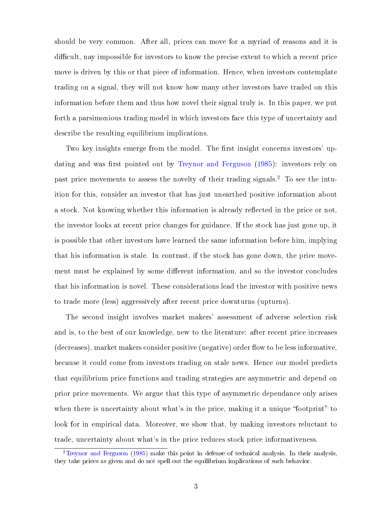should be very common. After all, prices can move for a myriad of reasons and it is difficult, nay impossible for investors to know the precise extent to which a recent price move is driven by this or that piece of information. Hence, when investors contemplate trading on a signal, they will not know how many other investors have traded on this information before them and thus how novel their signal truly is. In this paper, we put forth a parsimonious trading model in which investors face this type of uncertainty and describe the resulting equilibrium implications.

Two key insights emerge from the model. The first insight concerns investors' up-dating and was first pointed out by [Treynor and Ferguson](#page-25-1) [\(1985\)](#page-25-1): investors rely on past price movements to assess the novelty of their trading signals.[2](#page-2-0) To see the intuition for this, consider an investor that has just unearthed positive information about a stock. Not knowing whether this information is already reflected in the price or not, the investor looks at recent price changes for guidance. If the stock has just gone up, it is possible that other investors have learned the same information before him, implying that his information is stale. In contrast, if the stock has gone down, the price movement must be explained by some different information, and so the investor concludes that his information is novel. These considerations lead the investor with positive news to trade more (less) aggressively after recent price downturns (upturns).

The second insight involves market makers' assessment of adverse selection risk and is, to the best of our knowledge, new to the literature: after recent price increases  $(\text{decreases})$ , market makers consider positive (negative) order flow to be less informative. because it could come from investors trading on stale news. Hence our model predicts that equilibrium price functions and trading strategies are asymmetric and depend on prior price movements. We argue that this type of asymmetric dependance only arises when there is uncertainty about what's in the price, making it a unique "footprint" to look for in empirical data. Moreover, we show that, by making investors reluctant to trade, uncertainty about what's in the price reduces stock price informativeness.

<span id="page-2-0"></span><sup>2</sup>[Treynor and Ferguson](#page-25-1) [\(1985\)](#page-25-1) make this point in defense of technical analysis. In their analysis, they take prices as given and do not spell out the equilibrium implications of such behavior.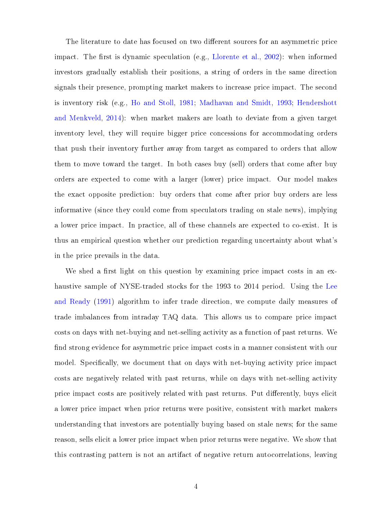The literature to date has focused on two different sources for an asymmetric price impact. The first is dynamic speculation (e.g., [Llorente et al.,](#page-25-2) [2002\)](#page-25-2): when informed investors gradually establish their positions, a string of orders in the same direction signals their presence, prompting market makers to increase price impact. The second is inventory risk (e.g., [Ho and Stoll,](#page-25-3) [1981;](#page-25-3) [Madhavan and Smidt,](#page-25-4) [1993;](#page-25-4) [Hendershott](#page-24-3) [and Menkveld,](#page-24-3) [2014\)](#page-24-3): when market makers are loath to deviate from a given target inventory level, they will require bigger price concessions for accommodating orders that push their inventory further away from target as compared to orders that allow them to move toward the target. In both cases buy (sell) orders that come after buy orders are expected to come with a larger (lower) price impact. Our model makes the exact opposite prediction: buy orders that come after prior buy orders are less informative (since they could come from speculators trading on stale news), implying a lower price impact. In practice, all of these channels are expected to co-exist. It is thus an empirical question whether our prediction regarding uncertainty about what's in the price prevails in the data.

We shed a first light on this question by examining price impact costs in an exhaustive sample of NYSE-traded stocks for the 1993 to 2014 period. Using the [Lee](#page-25-5) [and Ready](#page-25-5) [\(1991\)](#page-25-5) algorithm to infer trade direction, we compute daily measures of trade imbalances from intraday TAQ data. This allows us to compare price impact costs on days with net-buying and net-selling activity as a function of past returns. We find strong evidence for asymmetric price impact costs in a manner consistent with our model. Specifically, we document that on days with net-buying activity price impact costs are negatively related with past returns, while on days with net-selling activity price impact costs are positively related with past returns. Put differently, buys elicit a lower price impact when prior returns were positive, consistent with market makers understanding that investors are potentially buying based on stale news; for the same reason, sells elicit a lower price impact when prior returns were negative. We show that this contrasting pattern is not an artifact of negative return autocorrelations, leaving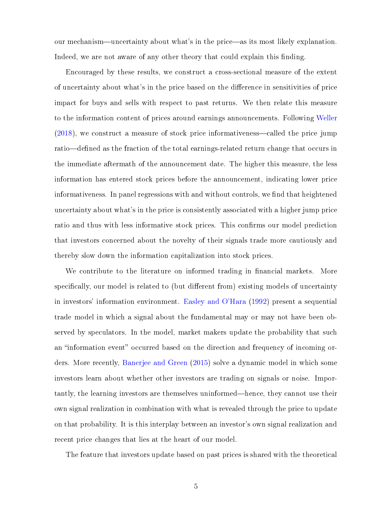our mechanism—uncertainty about what's in the price—as its most likely explanation. Indeed, we are not aware of any other theory that could explain this finding.

Encouraged by these results, we construct a cross-sectional measure of the extent of uncertainty about what's in the price based on the dierence in sensitivities of price impact for buys and sells with respect to past returns. We then relate this measure to the information content of prices around earnings announcements. Following [Weller](#page-25-6)  $(2018)$ , we construct a measure of stock price informativeness—called the price jump ratio—defined as the fraction of the total earnings-related return change that occurs in the immediate aftermath of the announcement date. The higher this measure, the less information has entered stock prices before the announcement, indicating lower price informativeness. In panel regressions with and without controls, we find that heightened uncertainty about what's in the price is consistently associated with a higher jump price ratio and thus with less informative stock prices. This confirms our model prediction that investors concerned about the novelty of their signals trade more cautiously and thereby slow down the information capitalization into stock prices.

We contribute to the literature on informed trading in financial markets. More specifically, our model is related to (but different from) existing models of uncertainty in investors' information environment. [Easley and O'Hara](#page-24-4) [\(1992\)](#page-24-4) present a sequential trade model in which a signal about the fundamental may or may not have been observed by speculators. In the model, market makers update the probability that such an "information event" occurred based on the direction and frequency of incoming orders. More recently, [Banerjee and Green](#page-24-5) [\(2015\)](#page-24-5) solve a dynamic model in which some investors learn about whether other investors are trading on signals or noise. Importantly, the learning investors are themselves uninformed—hence, they cannot use their own signal realization in combination with what is revealed through the price to update on that probability. It is this interplay between an investor's own signal realization and recent price changes that lies at the heart of our model.

The feature that investors update based on past prices is shared with the theoretical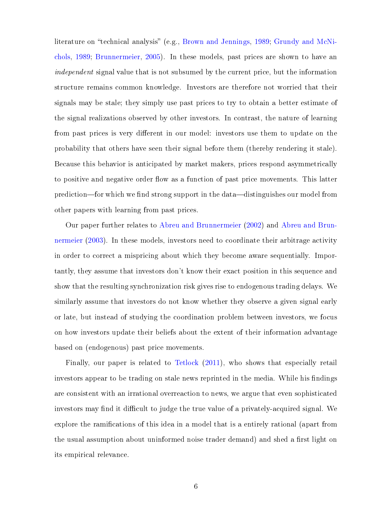literature on "technical analysis" (e.g., [Brown and Jennings,](#page-24-6) [1989;](#page-24-6) [Grundy and McNi](#page-24-7)[chols,](#page-24-7) [1989;](#page-24-7) [Brunnermeier,](#page-24-8) [2005\)](#page-24-8). In these models, past prices are shown to have an independent signal value that is not subsumed by the current price, but the information structure remains common knowledge. Investors are therefore not worried that their signals may be stale; they simply use past prices to try to obtain a better estimate of the signal realizations observed by other investors. In contrast, the nature of learning from past prices is very different in our model: investors use them to update on the probability that others have seen their signal before them (thereby rendering it stale). Because this behavior is anticipated by market makers, prices respond asymmetrically to positive and negative order flow as a function of past price movements. This latter prediction—for which we find strong support in the data—distinguishes our model from other papers with learning from past prices.

Our paper further relates to [Abreu and Brunnermeier](#page-24-9) [\(2002\)](#page-24-9) and [Abreu and Brun](#page-24-10)[nermeier](#page-24-10) [\(2003\)](#page-24-10). In these models, investors need to coordinate their arbitrage activity in order to correct a mispricing about which they become aware sequentially. Importantly, they assume that investors don't know their exact position in this sequence and show that the resulting synchronization risk gives rise to endogenous trading delays. We similarly assume that investors do not know whether they observe a given signal early or late, but instead of studying the coordination problem between investors, we focus on how investors update their beliefs about the extent of their information advantage based on (endogenous) past price movements.

Finally, our paper is related to [Tetlock](#page-25-7) [\(2011\)](#page-25-7), who shows that especially retail investors appear to be trading on stale news reprinted in the media. While his findings are consistent with an irrational overreaction to news, we argue that even sophisticated investors may find it difficult to judge the true value of a privately-acquired signal. We explore the ramifications of this idea in a model that is a entirely rational (apart from the usual assumption about uninformed noise trader demand) and shed a first light on its empirical relevance.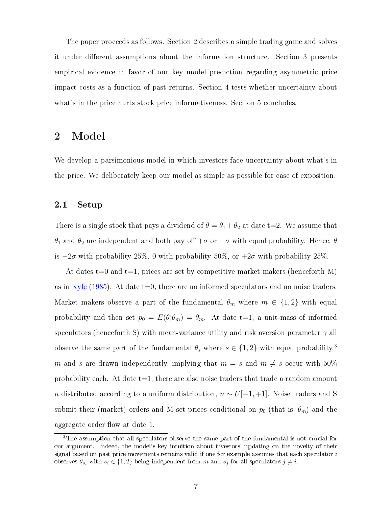The paper proceeds as follows. Section 2 describes a simple trading game and solves it under different assumptions about the information structure. Section 3 presents empirical evidence in favor of our key model prediction regarding asymmetric price impact costs as a function of past returns. Section 4 tests whether uncertainty about what's in the price hurts stock price informativeness. Section 5 concludes.

## 2 Model

We develop a parsimonious model in which investors face uncertainty about what's in the price. We deliberately keep our model as simple as possible for ease of exposition.

#### 2.1 Setup

There is a single stock that pays a dividend of  $\theta = \theta_1 + \theta_2$  at date t=2. We assume that θ<sub>1</sub> and θ<sub>2</sub> are independent and both pay off +σ or  $-σ$  with equal probability. Hence, θ is  $-2\sigma$  with probability 25%, 0 with probability 50%, or  $+2\sigma$  with probability 25%.

At dates t=0 and t=1, prices are set by competitive market makers (henceforth M) as in [Kyle](#page-25-0) [\(1985\)](#page-25-0). At date  $t=0$ , there are no informed speculators and no noise traders. Market makers observe a part of the fundamental  $\theta_m$  where  $m \in \{1,2\}$  with equal probability and then set  $p_0 = E(\theta|\theta_m) = \theta_m$ . At date t=1, a unit-mass of informed speculators (henceforth S) with mean-variance utility and risk aversion parameter  $\gamma$  all observe the same part of the fundamental  $\theta_s$  where  $s \in \{1,2\}$  with equal probability.<sup>[3](#page-6-0)</sup> m and s are drawn independently, implying that  $m = s$  and  $m \neq s$  occur with 50% probability each. At date  $t=1$ , there are also noise traders that trade a random amount *n* distributed according to a uniform distribution,  $n \sim U[-1, +1]$ . Noise traders and S submit their (market) orders and M set prices conditional on  $p_0$  (that is,  $\theta_m$ ) and the aggregate order flow at date 1.

<span id="page-6-0"></span><sup>&</sup>lt;sup>3</sup>The assumption that all speculators observe the same part of the fundamental is not crucial for our argument. Indeed, the model's key intuition about investors' updating on the novelty of their signal based on past price movements remains valid if one for example assumes that each speculator  $i$ observes  $\theta_{s_i}$  with  $s_i \in \{1,2\}$  being independent from m and  $s_j$  for all speculators  $j \neq i$ .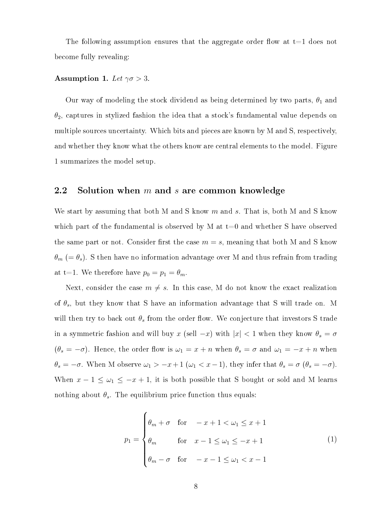The following assumption ensures that the aggregate order flow at  $t=1$  does not become fully revealing:

#### <span id="page-7-1"></span>Assumption 1. Let  $\gamma \sigma > 3$ .

Our way of modeling the stock dividend as being determined by two parts,  $\theta_1$  and  $\theta_2$ , captures in stylized fashion the idea that a stock's fundamental value depends on multiple sources uncertainty. Which bits and pieces are known by M and S, respectively, and whether they know what the others know are central elements to the model. Figure [1](#page-26-0) summarizes the model setup.

#### 2.2 Solution when  $m$  and  $s$  are common knowledge

We start by assuming that both M and S know  $m$  and s. That is, both M and S know which part of the fundamental is observed by M at  $t=0$  and whether S have observed the same part or not. Consider first the case  $m = s$ , meaning that both M and S know  $\theta_m$  (=  $\theta_s$ ). S then have no information advantage over M and thus refrain from trading at t=1. We therefore have  $p_0 = p_1 = \theta_m$ .

Next, consider the case  $m \neq s$ . In this case, M do not know the exact realization of  $\theta_s$ , but they know that S have an information advantage that S will trade on. M will then try to back out  $\theta_s$  from the order flow. We conjecture that investors S trade in a symmetric fashion and will buy x (sell  $-x$ ) with  $|x| < 1$  when they know  $\theta_s = \sigma$  $(\theta_s = -\sigma)$ . Hence, the order flow is  $\omega_1 = x + n$  when  $\theta_s = \sigma$  and  $\omega_1 = -x + n$  when  $\theta_s = -\sigma$ . When M observe  $\omega_1 > -x+1$  ( $\omega_1 < x-1$ ), they infer that  $\theta_s = \sigma$  ( $\theta_s = -\sigma$ ). When  $x - 1 \leq \omega_1 \leq -x + 1$ , it is both possible that S bought or sold and M learns nothing about  $\theta_s$ . The equilibrium price function thus equals:

<span id="page-7-0"></span>
$$
p_1 = \begin{cases} \theta_m + \sigma & \text{for} \quad -x + 1 < \omega_1 \le x + 1 \\ \theta_m & \text{for} \quad x - 1 \le \omega_1 \le -x + 1 \\ \theta_m - \sigma & \text{for} \quad -x - 1 \le \omega_1 < x - 1 \end{cases} \tag{1}
$$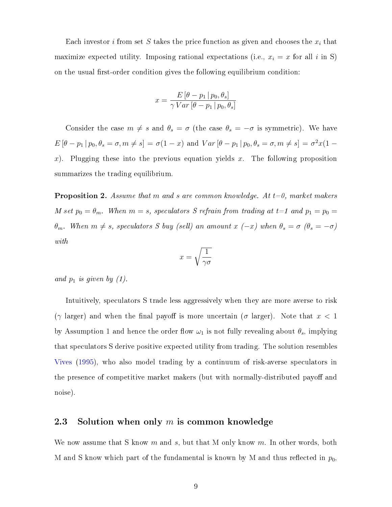Each investor i from set S takes the price function as given and chooses the  $x_i$  that maximize expected utility. Imposing rational expectations (i.e.,  $x_i = x$  for all i in S) on the usual first-order condition gives the following equilibrium condition:

$$
x = \frac{E\left[\theta - p_1 \,|\, p_0, \theta_s\right]}{\gamma \, Var\left[\theta - p_1 \,|\, p_0, \theta_s\right]}
$$

Consider the case  $m \neq s$  and  $\theta_s = \sigma$  (the case  $\theta_s = -\sigma$  is symmetric). We have  $E[\theta - p_1 | p_0, \theta_s = \sigma, m \neq s] = \sigma(1 - x)$  and  $Var[\theta - p_1 | p_0, \theta_s = \sigma, m \neq s] = \sigma^2 x(1$ x). Plugging these into the previous equation yields x. The following proposition summarizes the trading equilibrium.

**Proposition 2.** Assume that m and s are common knowledge. At  $t=0$ , market makers M set  $p_0 = \theta_m$ . When  $m = s$ , speculators S refrain from trading at  $t = 1$  and  $p_1 = p_0 = 1$ θ<sub>m</sub>. When  $m ≠ s$ , speculators S buy (sell) an amount  $x$  (-x) when  $θ_s = σ$  ( $θ_s = -σ$ ) with

$$
x = \sqrt{\frac{1}{\gamma \sigma}}
$$

and  $p_1$  is given by  $(1)$ .

Intuitively, speculators S trade less aggressively when they are more averse to risk ( $\gamma$  larger) and when the final payoff is more uncertain ( $\sigma$  larger). Note that  $x < 1$ by Assumption [1](#page-7-1) and hence the order flow  $\omega_1$  is not fully revealing about  $\theta_s$ , implying that speculators S derive positive expected utility from trading. The solution resembles [Vives](#page-25-8) [\(1995\)](#page-25-8), who also model trading by a continuum of risk-averse speculators in the presence of competitive market makers (but with normally-distributed payoff and noise).

### 2.3 Solution when only  $m$  is common knowledge

We now assume that S know m and s, but that M only know m. In other words, both M and S know which part of the fundamental is known by M and thus reflected in  $p_0$ ,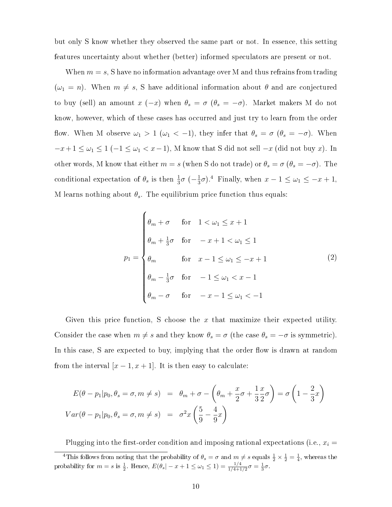but only S know whether they observed the same part or not. In essence, this setting features uncertainty about whether (better) informed speculators are present or not.

When  $m = s$ , S have no information advantage over M and thus refrains from trading  $(\omega_1 = n)$ . When  $m \neq s$ , S have additional information about  $\theta$  and are conjectured to buy (sell) an amount  $x(-x)$  when  $\theta_s = \sigma(\theta_s = -\sigma)$ . Market makers M do not know, however, which of these cases has occurred and just try to learn from the order flow. When M observe  $\omega_1 > 1$  ( $\omega_1 < -1$ ), they infer that  $\theta_s = \sigma$  ( $\theta_s = -\sigma$ ). When  $-x+1 \leq \omega_1 \leq 1$  (-1  $\leq \omega_1 < x-1$ ), M know that S did not sell -x (did not buy x). In other words, M know that either  $m = s$  (when S do not trade) or  $\theta_s = \sigma$  ( $\theta_s = -\sigma$ ). The conditional expectation of  $\theta_s$  is then  $\frac{1}{3}\sigma$  ( $-\frac{1}{3}$ )  $\frac{1}{3}\sigma$ ).<sup>[4](#page-9-0)</sup> Finally, when  $x - 1 \leq \omega_1 \leq -x + 1$ , M learns nothing about  $\theta_s$ . The equilibrium price function thus equals:

<span id="page-9-1"></span>
$$
p_1 = \begin{cases} \n\theta_m + \sigma & \text{for} \quad 1 < \omega_1 \leq x + 1 \\ \n\theta_m + \frac{1}{3}\sigma & \text{for} \quad -x + 1 < \omega_1 \leq 1 \\ \n\theta_m & \text{for} \quad x - 1 \leq \omega_1 \leq -x + 1 \\ \n\theta_m - \frac{1}{3}\sigma & \text{for} \quad -1 \leq \omega_1 < x - 1 \\ \n\theta_m - \sigma & \text{for} \quad -x - 1 \leq \omega_1 < -1 \n\end{cases} \tag{2}
$$

Given this price function, S choose the  $x$  that maximize their expected utility. Consider the case when  $m \neq s$  and they know  $\theta_s = \sigma$  (the case  $\theta_s = -\sigma$  is symmetric). In this case, S are expected to buy, implying that the order flow is drawn at random from the interval  $[x - 1, x + 1]$ . It is then easy to calculate:

$$
E(\theta - p_1|p_0, \theta_s = \sigma, m \neq s) = \theta_m + \sigma - \left(\theta_m + \frac{x}{2}\sigma + \frac{1}{3}\frac{x}{2}\sigma\right) = \sigma \left(1 - \frac{2}{3}x\right)
$$
  

$$
Var(\theta - p_1|p_0, \theta_s = \sigma, m \neq s) = \sigma^2 x \left(\frac{5}{9} - \frac{4}{9}x\right)
$$

<span id="page-9-0"></span>Plugging into the first-order condition and imposing rational expectations (i.e.,  $x_i =$ 

<sup>&</sup>lt;sup>4</sup>This follows from noting that the probability of  $\theta_s = \sigma$  and  $m \neq s$  equals  $\frac{1}{2} \times \frac{1}{2} = \frac{1}{4}$ , whereas the probability for  $m = s$  is  $\frac{1}{2}$ . Hence,  $E(\theta_s - x + 1 \leq \omega_1 \leq 1) = \frac{1/4}{1/4 + 1/2}\sigma = \frac{1}{3}\sigma$ .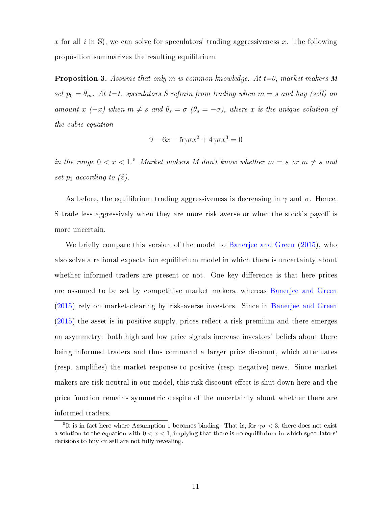x for all i in S), we can solve for speculators' trading aggressiveness x. The following proposition summarizes the resulting equilibrium.

**Proposition 3.** Assume that only m is common knowledge. At  $t=0$ , market makers M set  $p_0 = \theta_m$ . At t=1, speculators S refrain from trading when  $m = s$  and buy (sell) an amount x (-x) when  $m \neq s$  and  $\theta_s = \sigma$  ( $\theta_s = -\sigma$ ), where x is the unique solution of the cubic equation

$$
9 - 6x - 5\gamma\sigma x^2 + 4\gamma\sigma x^3 = 0
$$

in the range  $0 < x < 1$ .<sup>[5](#page-10-0)</sup> Market makers M don't know whether  $m = s$  or  $m \neq s$  and set  $p_1$  according to  $(2)$ .

As before, the equilibrium trading aggressiveness is decreasing in  $\gamma$  and  $\sigma$ . Hence, S trade less aggressively when they are more risk averse or when the stock's payoff is more uncertain.

We briefly compare this version of the model to [Banerjee and Green](#page-24-5) [\(2015\)](#page-24-5), who also solve a rational expectation equilibrium model in which there is uncertainty about whether informed traders are present or not. One key difference is that here prices are assumed to be set by competitive market makers, whereas [Banerjee and Green](#page-24-5) [\(2015\)](#page-24-5) rely on market-clearing by risk-averse investors. Since in [Banerjee and Green](#page-24-5)  $(2015)$  the asset is in positive supply, prices reflect a risk premium and there emerges an asymmetry: both high and low price signals increase investors' beliefs about there being informed traders and thus command a larger price discount, which attenuates (resp. amplifies) the market response to positive (resp. negative) news. Since market makers are risk-neutral in our model, this risk discount effect is shut down here and the price function remains symmetric despite of the uncertainty about whether there are informed traders.

<span id="page-10-0"></span><sup>&</sup>lt;sup>5</sup>It is in fact here where Assumption [1](#page-7-1) becomes binding. That is, for  $\gamma\sigma < 3$ , there does not exist a solution to the equation with  $0 < x < 1$ , implying that there is no equilibrium in which speculators decisions to buy or sell are not fully revealing.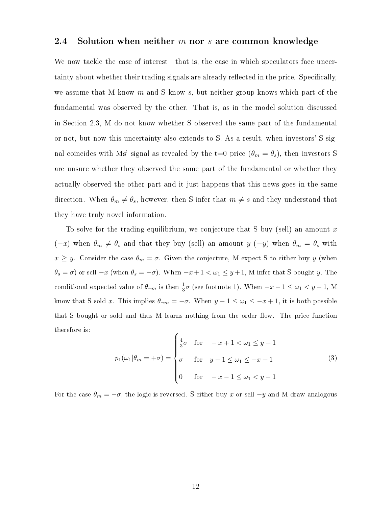#### 2.4 Solution when neither  $m$  nor  $s$  are common knowledge

We now tackle the case of interest—that is, the case in which speculators face uncertainty about whether their trading signals are already reflected in the price. Specifically, we assume that M know  $m$  and S know  $s$ , but neither group knows which part of the fundamental was observed by the other. That is, as in the model solution discussed in Section 2.3, M do not know whether S observed the same part of the fundamental or not, but now this uncertainty also extends to S. As a result, when investors' S signal coincides with Ms' signal as revealed by the t=0 price  $(\theta_m = \theta_s)$ , then investors S are unsure whether they observed the same part of the fundamental or whether they actually observed the other part and it just happens that this news goes in the same direction. When  $\theta_m \neq \theta_s$ , however, then S infer that  $m \neq s$  and they understand that they have truly novel information.

To solve for the trading equilibrium, we conjecture that S buy (sell) an amount  $x$  $(-x)$  when  $\theta_m \neq \theta_s$  and that they buy (sell) an amount y  $(-y)$  when  $\theta_m = \theta_s$  with  $x \geq y$ . Consider the case  $\theta_m = \sigma$ . Given the conjecture, M expect S to either buy y (when  $\theta_s = \sigma$ ) or sell  $-x$  (when  $\theta_s = -\sigma$ ). When  $-x+1 < \omega_1 \leq y+1$ , M infer that S bought y. The conditional expected value of  $\theta_{\neg m}$  is then  $\frac{1}{3}\sigma$  (see footnote 1). When  $-x-1 \leq \omega_1 < y-1$ , M know that S sold x. This implies  $\theta_{\neg m} = -\sigma$ . When  $y - 1 \leq \omega_1 \leq -x + 1$ , it is both possible that S bought or sold and thus M learns nothing from the order flow. The price function therefore is:

<span id="page-11-0"></span>
$$
p_1(\omega_1|\theta_m = +\sigma) = \begin{cases} \frac{4}{3}\sigma & \text{for } -x+1 < \omega_1 \le y+1 \\ \sigma & \text{for } y-1 \le \omega_1 \le -x+1 \\ 0 & \text{for } -x-1 \le \omega_1 < y-1 \end{cases} \tag{3}
$$

For the case  $\theta_m = -\sigma$ , the logic is reversed. S either buy x or sell  $-y$  and M draw analogous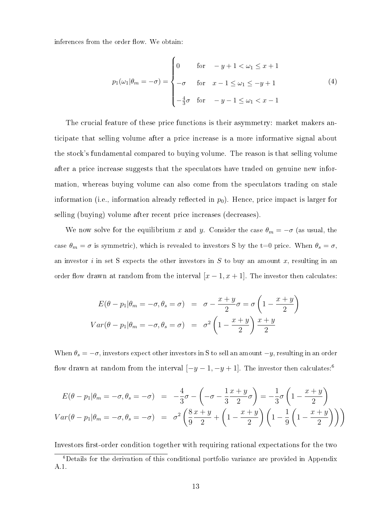inferences from the order flow. We obtain:

<span id="page-12-1"></span>
$$
p_1(\omega_1|\theta_m = -\sigma) = \begin{cases} 0 & \text{for } -y + 1 < \omega_1 \le x + 1 \\ -\sigma & \text{for } x - 1 \le \omega_1 \le -y + 1 \\ -\frac{4}{3}\sigma & \text{for } -y - 1 \le \omega_1 < x - 1 \end{cases} \tag{4}
$$

The crucial feature of these price functions is their asymmetry: market makers anticipate that selling volume after a price increase is a more informative signal about the stock's fundamental compared to buying volume. The reason is that selling volume after a price increase suggests that the speculators have traded on genuine new information, whereas buying volume can also come from the speculators trading on stale information (i.e., information already reflected in  $p_0$ ). Hence, price impact is larger for selling (buying) volume after recent price increases (decreases).

We now solve for the equilibrium x and y. Consider the case  $\theta_m = -\sigma$  (as usual, the case  $\theta_m = \sigma$  is symmetric), which is revealed to investors S by the t=0 price. When  $\theta_s = \sigma$ , an investor i in set S expects the other investors in  $S$  to buy an amount  $x$ , resulting in an order flow drawn at random from the interval  $[x - 1, x + 1]$ . The investor then calculates:

$$
E(\theta - p_1 | \theta_m = -\sigma, \theta_s = \sigma) = \sigma - \frac{x + y}{2}\sigma = \sigma \left(1 - \frac{x + y}{2}\right)
$$
  

$$
Var(\theta - p_1 | \theta_m = -\sigma, \theta_s = \sigma) = \sigma^2 \left(1 - \frac{x + y}{2}\right) \frac{x + y}{2}
$$

When  $\theta_s = -\sigma$ , investors expect other investors in S to sell an amount  $-y$ , resulting in an order flow drawn at random from the interval  $[-y-1, -y+1]$ . The investor then calculates:<sup>[6](#page-12-0)</sup>

$$
E(\theta - p_1 | \theta_m = -\sigma, \theta_s = -\sigma) = -\frac{4}{3}\sigma - \left(-\sigma - \frac{1}{3}\frac{x+y}{2}\sigma\right) = -\frac{1}{3}\sigma \left(1 - \frac{x+y}{2}\right)
$$

$$
Var(\theta - p_1 | \theta_m = -\sigma, \theta_s = -\sigma) = \sigma^2 \left(\frac{8}{9}\frac{x+y}{2} + \left(1 - \frac{x+y}{2}\right)\left(1 - \frac{1}{9}\left(1 - \frac{x+y}{2}\right)\right)\right)
$$

Investors first-order condition together with requiring rational expectations for the two

<span id="page-12-0"></span><sup>6</sup>Details for the derivation of this conditional portfolio variance are provided in Appendix [A.1.](#page-31-0)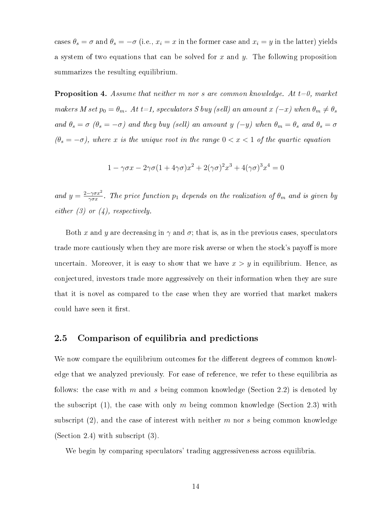cases  $\theta_s = \sigma$  and  $\theta_s = -\sigma$  (i.e.,  $x_i = x$  in the former case and  $x_i = y$  in the latter) yields a system of two equations that can be solved for x and y. The following proposition summarizes the resulting equilibrium.

**Proposition 4.** Assume that neither m nor s are common knowledge. At  $t=0$ , market makers M set  $p_0 = \theta_m$ . At t=1, speculators S buy (sell) an amount  $x(-x)$  when  $\theta_m \neq \theta_s$ and  $\theta_s = \sigma$  ( $\theta_s = -\sigma$ ) and they buy (sell) an amount y (-y) when  $\theta_m = \theta_s$  and  $\theta_s = \sigma$  $(\theta_s = -\sigma)$ , where x is the unique root in the range  $0 < x < 1$  of the quartic equation

$$
1 - \gamma \sigma x - 2\gamma \sigma (1 + 4\gamma \sigma) x^2 + 2(\gamma \sigma)^2 x^3 + 4(\gamma \sigma)^3 x^4 = 0
$$

and  $y = \frac{2-\gamma \sigma x^2}{\gamma \sigma x}$  $\frac{-\gamma \sigma x^2}{\gamma \sigma x}$ . The price function  $p_1$  depends on the realization of  $\theta_m$  and is given by  $either (3) or (4), respectively.$  $either (3) or (4), respectively.$  $either (3) or (4), respectively.$  $either (3) or (4), respectively.$  $either (3) or (4), respectively.$ 

Both x and y are decreasing in  $\gamma$  and  $\sigma$ ; that is, as in the previous cases, speculators trade more cautiously when they are more risk averse or when the stock's payoff is more uncertain. Moreover, it is easy to show that we have  $x > y$  in equilibrium. Hence, as conjectured, investors trade more aggressively on their information when they are sure that it is novel as compared to the case when they are worried that market makers could have seen it first.

### <span id="page-13-0"></span>2.5 Comparison of equilibria and predictions

We now compare the equilibrium outcomes for the different degrees of common knowledge that we analyzed previously. For ease of reference, we refer to these equilibria as follows: the case with m and s being common knowledge (Section 2.2) is denoted by the subscript (1), the case with only m being common knowledge (Section 2.3) with subscript  $(2)$ , and the case of interest with neither m nor s being common knowledge (Section 2.4) with subscript (3).

We begin by comparing speculators' trading aggressiveness across equilibria.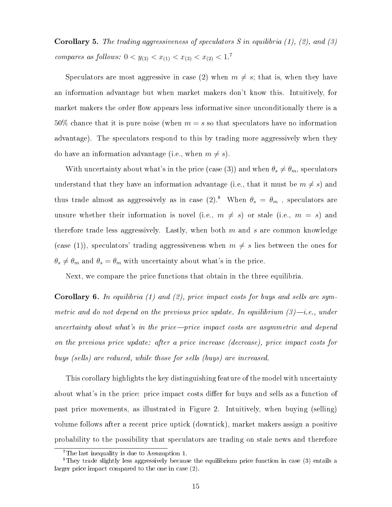**Corollary 5.** The trading aggressiveness of speculators S in equilibria  $(1)$ ,  $(2)$ , and  $(3)$ compares as follows:  $0 < y_{(3)} < x_{(1)} < x_{(3)} < x_{(2)} < 1$ .

Speculators are most aggressive in case (2) when  $m \neq s$ ; that is, when they have an information advantage but when market makers don't know this. Intuitively, for market makers the order flow appears less informative since unconditionally there is a 50% chance that it is pure noise (when  $m = s$  so that speculators have no information advantage). The speculators respond to this by trading more aggressively when they do have an information advantage (i.e., when  $m \neq s$ ).

With uncertainty about what's in the price (case (3)) and when  $\theta_s \neq \theta_m$ , speculators understand that they have an information advantage (i.e., that it must be  $m \neq s$ ) and thus trade almost as aggressively as in case  $(2)^{8}$  $(2)^{8}$  $(2)^{8}$ . When  $\theta_s = \theta_m$ , speculators are unsure whether their information is novel (i.e.,  $m \neq s$ ) or stale (i.e.,  $m = s$ ) and therefore trade less aggressively. Lastly, when both  $m$  and  $s$  are common knowledge (case (1)), speculators' trading aggressiveness when  $m \neq s$  lies between the ones for  $\theta_s \neq \theta_m$  and  $\theta_s = \theta_m$  with uncertainty about what's in the price.

Next, we compare the price functions that obtain in the three equilibria.

**Corollary 6.** In equilibria (1) and (2), price impact costs for buys and sells are symmetric and do not depend on the previous price update. In equilibrium  $(3)$ —i.e., under uncertainty about what's in the price—price impact costs are asymmetric and depend on the previous price update: after a price increase (decrease), price impact costs for buys (sells) are reduced, while those for sells (buys) are increased.

This corollary highlights the key distinguishing feature of the model with uncertainty about what's in the price: price impact costs differ for buys and sells as a function of past price movements, as illustrated in Figure [2.](#page-26-1) Intuitively, when buying (selling) volume follows after a recent price uptick (downtick), market makers assign a positive probability to the possibility that speculators are trading on stale news and therefore

<span id="page-14-1"></span><span id="page-14-0"></span><sup>&</sup>lt;sup>7</sup>The last inequality is due to Assumption [1.](#page-7-1)

 ${}^8$ They trade slightly less aggressively because the equilibrium price function in case (3) entails a larger price impact compared to the one in case (2).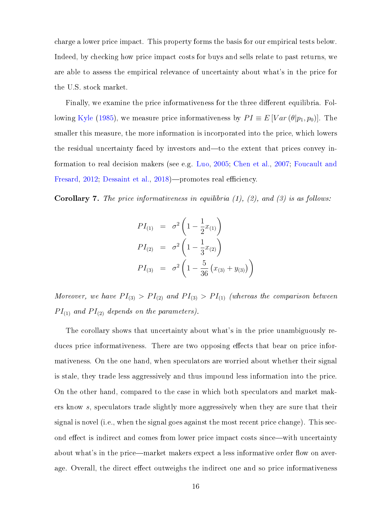charge a lower price impact. This property forms the basis for our empirical tests below. Indeed, by checking how price impact costs for buys and sells relate to past returns, we are able to assess the empirical relevance of uncertainty about what's in the price for the U.S. stock market.

Finally, we examine the price informativeness for the three different equilibria. Fol-lowing [Kyle](#page-25-0) [\(1985\)](#page-25-0), we measure price informativeness by  $PI \equiv E[Var(\theta|p_1, p_0)]$ . The smaller this measure, the more information is incorporated into the price, which lowers the residual uncertainty faced by investors and—to the extent that prices convey information to real decision makers (see e.g. [Luo,](#page-25-9) [2005;](#page-25-9) [Chen et al.,](#page-24-11) [2007;](#page-24-11) [Foucault and](#page-24-12) [Fresard,](#page-24-12) [2012;](#page-24-12) [Dessaint et al.,](#page-24-13) [2018\)](#page-24-13)—promotes real efficiency.

**Corollary 7.** The price informativeness in equilibria  $(1)$ ,  $(2)$ , and  $(3)$  is as follows:

$$
PI_{(1)} = \sigma^2 \left( 1 - \frac{1}{2} x_{(1)} \right)
$$
  
\n
$$
PI_{(2)} = \sigma^2 \left( 1 - \frac{1}{3} x_{(2)} \right)
$$
  
\n
$$
PI_{(3)} = \sigma^2 \left( 1 - \frac{5}{36} \left( x_{(3)} + y_{(3)} \right) \right)
$$

Moreover, we have  $PI_{(3)} > PI_{(2)}$  and  $PI_{(3)} > PI_{(1)}$  (whereas the comparison between  $PI_{(1)}$  and  $PI_{(2)}$  depends on the parameters).

The corollary shows that uncertainty about what's in the price unambiguously reduces price informativeness. There are two opposing effects that bear on price informativeness. On the one hand, when speculators are worried about whether their signal is stale, they trade less aggressively and thus impound less information into the price. On the other hand, compared to the case in which both speculators and market makers know s, speculators trade slightly more aggressively when they are sure that their signal is novel (i.e., when the signal goes against the most recent price change). This second effect is indirect and comes from lower price impact costs since—with uncertainty about what's in the price—market makers expect a less informative order flow on average. Overall, the direct effect outweighs the indirect one and so price informativeness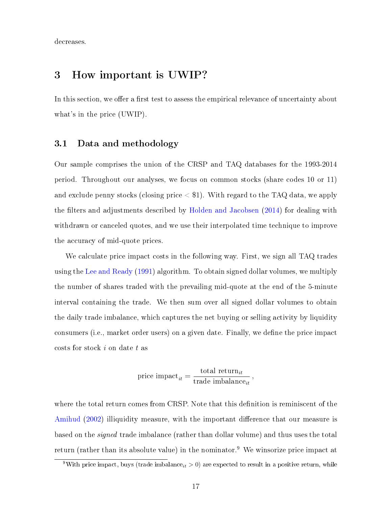decreases.

## <span id="page-16-1"></span>3 How important is UWIP?

In this section, we offer a first test to assess the empirical relevance of uncertainty about what's in the price (UWIP).

### <span id="page-16-2"></span>3.1 Data and methodology

Our sample comprises the union of the CRSP and TAQ databases for the 1993-2014 period. Throughout our analyses, we focus on common stocks (share codes 10 or 11) and exclude penny stocks (closing price  $\langle$  \$1). With regard to the TAQ data, we apply the filters and adjustments described by [Holden and Jacobsen](#page-25-10) [\(2014\)](#page-25-10) for dealing with withdrawn or canceled quotes, and we use their interpolated time technique to improve the accuracy of mid-quote prices.

We calculate price impact costs in the following way. First, we sign all TAQ trades using the [Lee and Ready](#page-25-5) [\(1991\)](#page-25-5) algorithm. To obtain signed dollar volumes, we multiply the number of shares traded with the prevailing mid-quote at the end of the 5-minute interval containing the trade. We then sum over all signed dollar volumes to obtain the daily trade imbalance, which captures the net buying or selling activity by liquidity consumers (i.e., market order users) on a given date. Finally, we define the price impact costs for stock i on date t as

$$
price impact_{it} = \frac{\text{total return}_{it}}{\text{trade imbalance}_{it}},
$$

where the total return comes from CRSP. Note that this definition is reminiscent of the [Amihud](#page-24-14) [\(2002\)](#page-24-14) illiquidity measure, with the important difference that our measure is based on the signed trade imbalance (rather than dollar volume) and thus uses the total return (rather than its absolute value) in the nominator.<sup>[9](#page-16-0)</sup> We winsorize price impact at

<span id="page-16-0"></span><sup>&</sup>lt;sup>9</sup>With price impact, buys (trade imbalance<sub>it</sub> > 0) are expected to result in a positive return, while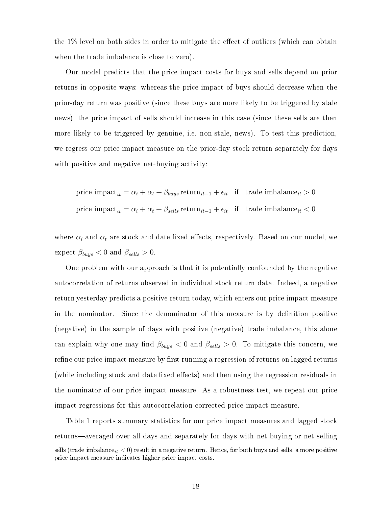the  $1\%$  level on both sides in order to mitigate the effect of outliers (which can obtain when the trade imbalance is close to zero).

Our model predicts that the price impact costs for buys and sells depend on prior returns in opposite ways: whereas the price impact of buys should decrease when the prior-day return was positive (since these buys are more likely to be triggered by stale news), the price impact of sells should increase in this case (since these sells are then more likely to be triggered by genuine, i.e. non-stale, news). To test this prediction, we regress our price impact measure on the prior-day stock return separately for days with positive and negative net-buying activity:

price impact<sub>it</sub> = 
$$
\alpha_i + \alpha_t + \beta_{bups}
$$
 return<sub>it-1</sub> +  $\epsilon_{it}$  if trade imbalance<sub>it</sub> > 0  
price impact<sub>it</sub> =  $\alpha_i + \alpha_t + \beta_{sells}$  return<sub>it-1</sub> +  $\epsilon_{it}$  if trade imbalance<sub>it</sub> < 0

where  $\alpha_i$  and  $\alpha_t$  are stock and date fixed effects, respectively. Based on our model, we expect  $\beta_{buys} < 0$  and  $\beta_{sells} > 0$ .

One problem with our approach is that it is potentially confounded by the negative autocorrelation of returns observed in individual stock return data. Indeed, a negative return yesterday predicts a positive return today, which enters our price impact measure in the nominator. Since the denominator of this measure is by denition positive (negative) in the sample of days with positive (negative) trade imbalance, this alone can explain why one may find  $\beta_{buys} < 0$  and  $\beta_{sells} > 0$ . To mitigate this concern, we refine our price impact measure by first running a regression of returns on lagged returns (while including stock and date fixed effects) and then using the regression residuals in the nominator of our price impact measure. As a robustness test, we repeat our price impact regressions for this autocorrelation-corrected price impact measure.

Table [1](#page-27-0) reports summary statistics for our price impact measures and lagged stock returns—averaged over all days and separately for days with net-buying or net-selling

sells (trade imbalance<sub>it</sub>  $<$  0) result in a negative return. Hence, for both buys and sells, a more positive price impact measure indicates higher price impact costs.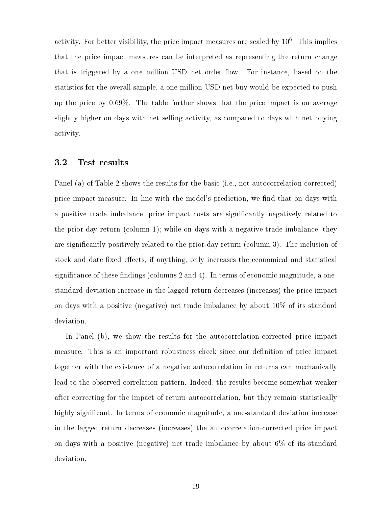activity. For better visibility, the price impact measures are scaled by  $10^6$ . This implies that the price impact measures can be interpreted as representing the return change that is triggered by a one million USD net order flow. For instance, based on the statistics for the overall sample, a one million USD net buy would be expected to push up the price by 0.69%. The table further shows that the price impact is on average slightly higher on days with net selling activity, as compared to days with net buying activity.

### 3.2 Test results

Panel (a) of Table [2](#page-28-0) shows the results for the basic (i.e., not autocorrelation-corrected) price impact measure. In line with the model's prediction, we find that on days with a positive trade imbalance, price impact costs are signicantly negatively related to the prior-day return (column 1); while on days with a negative trade imbalance, they are signicantly positively related to the prior-day return (column 3). The inclusion of stock and date fixed effects, if anything, only increases the economical and statistical significance of these findings (columns 2 and 4). In terms of economic magnitude, a onestandard deviation increase in the lagged return decreases (increases) the price impact on days with a positive (negative) net trade imbalance by about 10% of its standard deviation.

In Panel (b), we show the results for the autocorrelation-corrected price impact measure. This is an important robustness check since our definition of price impact together with the existence of a negative autocorrelation in returns can mechanically lead to the observed correlation pattern. Indeed, the results become somewhat weaker after correcting for the impact of return autocorrelation, but they remain statistically highly significant. In terms of economic magnitude, a one-standard deviation increase in the lagged return decreases (increases) the autocorrelation-corrected price impact on days with a positive (negative) net trade imbalance by about 6% of its standard deviation.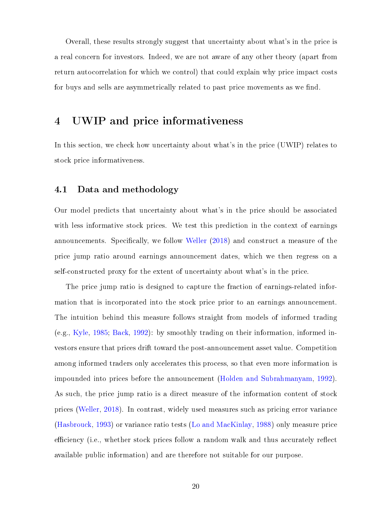Overall, these results strongly suggest that uncertainty about what's in the price is a real concern for investors. Indeed, we are not aware of any other theory (apart from return autocorrelation for which we control) that could explain why price impact costs for buys and sells are asymmetrically related to past price movements as we find.

## 4 UWIP and price informativeness

In this section, we check how uncertainty about what's in the price (UWIP) relates to stock price informativeness.

### <span id="page-19-0"></span>4.1 Data and methodology

Our model predicts that uncertainty about what's in the price should be associated with less informative stock prices. We test this prediction in the context of earnings announcements. Specifically, we follow [Weller](#page-25-6) [\(2018\)](#page-25-6) and construct a measure of the price jump ratio around earnings announcement dates, which we then regress on a self-constructed proxy for the extent of uncertainty about what's in the price.

The price jump ratio is designed to capture the fraction of earnings-related information that is incorporated into the stock price prior to an earnings announcement. The intuition behind this measure follows straight from models of informed trading (e.g., [Kyle,](#page-25-0) [1985;](#page-25-0) [Back,](#page-24-15) [1992\)](#page-24-15): by smoothly trading on their information, informed investors ensure that prices drift toward the post-announcement asset value. Competition among informed traders only accelerates this process, so that even more information is impounded into prices before the announcement [\(Holden and Subrahmanyam,](#page-25-11) [1992\)](#page-25-11). As such, the price jump ratio is a direct measure of the information content of stock prices [\(Weller,](#page-25-6) [2018\)](#page-25-6). In contrast, widely used measures such as pricing error variance [\(Hasbrouck,](#page-24-16) [1993\)](#page-24-16) or variance ratio tests [\(Lo and MacKinlay,](#page-25-12) [1988\)](#page-25-12) only measure price efficiency (i.e., whether stock prices follow a random walk and thus accurately reflect available public information) and are therefore not suitable for our purpose.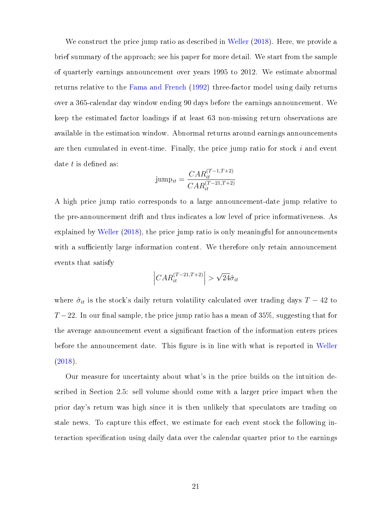We construct the price jump ratio as described in [Weller](#page-25-6) [\(2018\)](#page-25-6). Here, we provide a brief summary of the approach; see his paper for more detail. We start from the sample of quarterly earnings announcement over years 1995 to 2012. We estimate abnormal returns relative to the [Fama and French](#page-24-17) [\(1992\)](#page-24-17) three-factor model using daily returns over a 365-calendar day window ending 90 days before the earnings announcement. We keep the estimated factor loadings if at least 63 non-missing return observations are available in the estimation window. Abnormal returns around earnings announcements are then cumulated in event-time. Finally, the price jump ratio for stock  $i$  and event date  $t$  is defined as:

$$
jump_{it} = \frac{CAR_{it}^{(T-1,T+2)}}{CAR_{it}^{(T-21,T+2)}}
$$

A high price jump ratio corresponds to a large announcement-date jump relative to the pre-announcement drift and thus indicates a low level of price informativeness. As explained by [Weller](#page-25-6) [\(2018\)](#page-25-6), the price jump ratio is only meaningful for announcements with a sufficiently large information content. We therefore only retain announcement events that satisfy

$$
\left| CAR_{it}^{(T-21,T+2)} \right| > \sqrt{24} \hat{\sigma}_{it}
$$

where  $\hat{\sigma}_{it}$  is the stock's daily return volatility calculated over trading days  $T - 42$  to  $T-22$ . In our final sample, the price jump ratio has a mean of 35%, suggesting that for the average announcement event a signicant fraction of the information enters prices before the announcement date. This figure is in line with what is reported in [Weller](#page-25-6) [\(2018\)](#page-25-6).

Our measure for uncertainty about what's in the price builds on the intuition described in Section [2.5:](#page-13-0) sell volume should come with a larger price impact when the prior day's return was high since it is then unlikely that speculators are trading on stale news. To capture this effect, we estimate for each event stock the following interaction specification using daily data over the calendar quarter prior to the earnings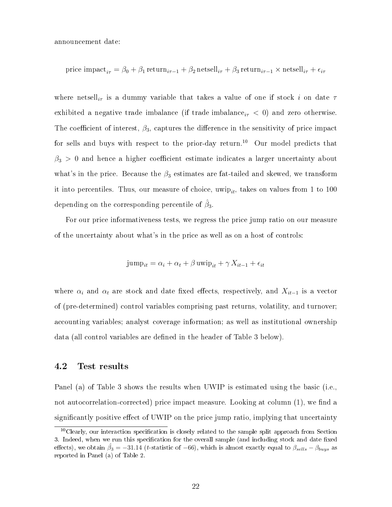announcement date:

price impact<sub>*i*τ</sub> = 
$$
\beta_0 + \beta_1 \text{return}_{i\tau-1} + \beta_2 \text{netsell}_{i\tau} + \beta_3 \text{return}_{i\tau-1} \times \text{netsell}_{i\tau} + \epsilon_{i\tau}
$$

where netsell<sub>it</sub> is a dummy variable that takes a value of one if stock i on date  $\tau$ exhibited a negative trade imbalance (if trade imbalance<sub>i $\tau$ </sub>  $<$  0) and zero otherwise. The coefficient of interest,  $\beta_3$ , captures the difference in the sensitivity of price impact for sells and buys with respect to the prior-day return.<sup>[10](#page-21-0)</sup> Our model predicts that  $\beta_3 > 0$  and hence a higher coefficient estimate indicates a larger uncertainty about what's in the price. Because the  $\beta_3$  estimates are fat-tailed and skewed, we transform it into percentiles. Thus, our measure of choice, uwip<sub>it</sub>, takes on values from 1 to 100 depending on the corresponding percentile of  $\hat{\beta}_3.$ 

For our price informativeness tests, we regress the price jump ratio on our measure of the uncertainty about what's in the price as well as on a host of controls:

$$
jump_{it} = \alpha_i + \alpha_t + \beta \, \text{uwin}_{it} + \gamma \, X_{it-1} + \epsilon_{it}
$$

where  $\alpha_i$  and  $\alpha_t$  are stock and date fixed effects, respectively, and  $X_{it-1}$  is a vector of (pre-determined) control variables comprising past returns, volatility, and turnover; accounting variables; analyst coverage information; as well as institutional ownership data (all control variables are defined in the header of Table [3](#page-29-0) below).

### 4.2 Test results

Panel (a) of Table [3](#page-29-0) shows the results when UWIP is estimated using the basic (i.e., not autocorrelation-corrected) price impact measure. Looking at column  $(1)$ , we find a significantly positive effect of UWIP on the price jump ratio, implying that uncertainty

<span id="page-21-0"></span> $10$ Clearly, our interaction specification is closely related to the sample split approach from Section [3.](#page-16-1) Indeed, when we run this specification for the overall sample (and including stock and date fixed effects), we obtain  $\hat{\beta}_3 = -31.14$  (t-statistic of -66), which is almost exactly equal to  $\beta_{sells} - \beta_{buys}$  as reported in Panel (a) of Table [2.](#page-28-0)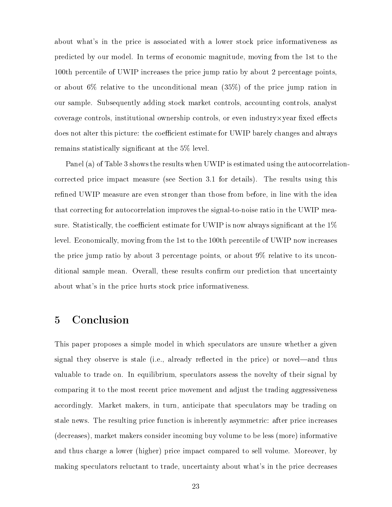about what's in the price is associated with a lower stock price informativeness as predicted by our model. In terms of economic magnitude, moving from the 1st to the 100th percentile of UWIP increases the price jump ratio by about 2 percentage points, or about 6% relative to the unconditional mean (35%) of the price jump ration in our sample. Subsequently adding stock market controls, accounting controls, analyst coverage controls, institutional ownership controls, or even industry $\times$  year fixed effects does not alter this picture: the coefficient estimate for UWIP barely changes and always remains statistically signicant at the 5% level.

Panel (a) of Table [3](#page-29-0) shows the results when UWIP is estimated using the autocorrelationcorrected price impact measure (see Section [3.1](#page-16-2) for details). The results using this refined UWIP measure are even stronger than those from before, in line with the idea that correcting for autocorrelation improves the signal-to-noise ratio in the UWIP measure. Statistically, the coefficient estimate for UWIP is now always significant at the  $1\%$ level. Economically, moving from the 1st to the 100th percentile of UWIP now increases the price jump ratio by about 3 percentage points, or about 9% relative to its unconditional sample mean. Overall, these results confirm our prediction that uncertainty about what's in the price hurts stock price informativeness.

## 5 Conclusion

This paper proposes a simple model in which speculators are unsure whether a given signal they observe is stale (i.e., already reflected in the price) or novel—and thus valuable to trade on. In equilibrium, speculators assess the novelty of their signal by comparing it to the most recent price movement and adjust the trading aggressiveness accordingly. Market makers, in turn, anticipate that speculators may be trading on stale news. The resulting price function is inherently asymmetric: after price increases (decreases), market makers consider incoming buy volume to be less (more) informative and thus charge a lower (higher) price impact compared to sell volume. Moreover, by making speculators reluctant to trade, uncertainty about what's in the price decreases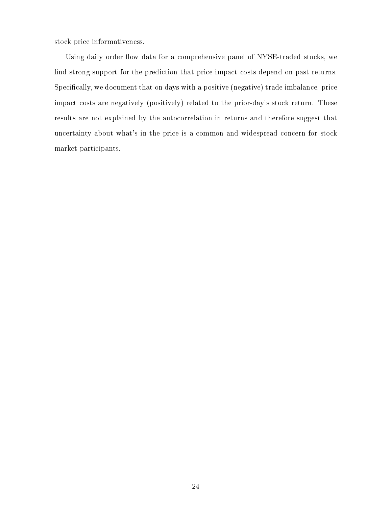stock price informativeness.

Using daily order flow data for a comprehensive panel of NYSE-traded stocks, we find strong support for the prediction that price impact costs depend on past returns. Specifically, we document that on days with a positive (negative) trade imbalance, price impact costs are negatively (positively) related to the prior-day's stock return. These results are not explained by the autocorrelation in returns and therefore suggest that uncertainty about what's in the price is a common and widespread concern for stock market participants.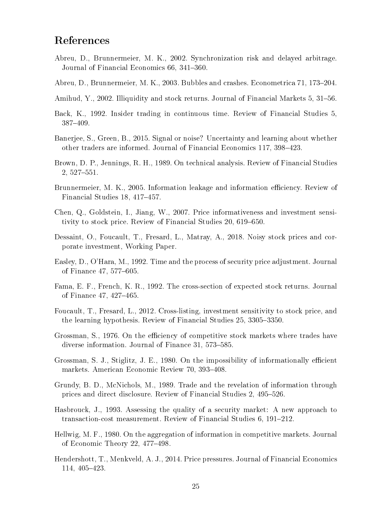## References

- <span id="page-24-9"></span>Abreu, D., Brunnermeier, M. K., 2002. Synchronization risk and delayed arbitrage. Journal of Financial Economics 66, 341-360.
- <span id="page-24-10"></span>Abreu, D., Brunnermeier, M. K., 2003. Bubbles and crashes. Econometrica 71, 173–204.
- <span id="page-24-14"></span>Amihud, Y., 2002. Illiquidity and stock returns. Journal of Financial Markets 5, 31–56.
- <span id="page-24-15"></span>Back, K., 1992. Insider trading in continuous time. Review of Financial Studies 5, 387409.
- <span id="page-24-5"></span>Banerjee, S., Green, B., 2015. Signal or noise? Uncertainty and learning about whether other traders are informed. Journal of Financial Economics 117, 398–423.
- <span id="page-24-6"></span>Brown, D. P., Jennings, R. H., 1989. On technical analysis. Review of Financial Studies  $2,527-551.$
- <span id="page-24-8"></span>Brunnermeier, M. K., 2005. Information leakage and information efficiency. Review of Financial Studies 18, 417-457.
- <span id="page-24-11"></span>Chen, Q., Goldstein, I., Jiang, W., 2007. Price informativeness and investment sensitivity to stock price. Review of Financial Studies 20, 619-650.
- <span id="page-24-13"></span>Dessaint, O., Foucault, T., Fresard, L., Matray, A., 2018. Noisy stock prices and corporate investment, Working Paper.
- <span id="page-24-4"></span>Easley, D., O'Hara, M., 1992. Time and the process of security price adjustment. Journal of Finance 47, 577–605.
- <span id="page-24-17"></span>Fama, E. F., French, K. R., 1992. The cross-section of expected stock returns. Journal of Finance 47, 427-465.
- <span id="page-24-12"></span>Foucault, T., Fresard, L., 2012. Cross-listing, investment sensitivity to stock price, and the learning hypothesis. Review of Financial Studies 25, 3305–3350.
- <span id="page-24-0"></span>Grossman, S., 1976. On the efficiency of competitive stock markets where trades have diverse information. Journal of Finance  $31, 573-585$ .
- <span id="page-24-1"></span>Grossman, S. J., Stiglitz, J. E., 1980. On the impossibility of informationally efficient markets. American Economic Review 70, 393-408.
- <span id="page-24-7"></span>Grundy, B. D., McNichols, M., 1989. Trade and the revelation of information through prices and direct disclosure. Review of Financial Studies 2, 495–526.
- <span id="page-24-16"></span>Hasbrouck, J., 1993. Assessing the quality of a security market: A new approach to transaction-cost measurement. Review of Financial Studies 6, 191–212.
- <span id="page-24-2"></span>Hellwig, M. F., 1980. On the aggregation of information in competitive markets. Journal of Economic Theory 22, 477-498.
- <span id="page-24-3"></span>Hendershott, T., Menkveld, A. J., 2014. Price pressures. Journal of Financial Economics 114, 405-423.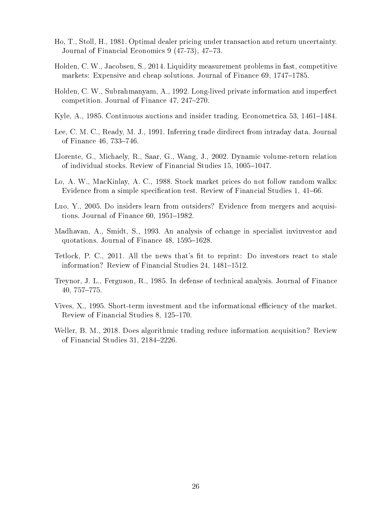- <span id="page-25-3"></span>Ho, T., Stoll, H., 1981. Optimal dealer pricing under transaction and return uncertainty. Journal of Financial Economics  $9(47-73)$ ,  $47-73$ .
- <span id="page-25-10"></span>Holden, C. W., Jacobsen, S., 2014. Liquidity measurement problems in fast, competitive markets: Expensive and cheap solutions. Journal of Finance  $69, 1747-1785$ .
- <span id="page-25-11"></span>Holden, C. W., Subrahmanyam, A., 1992. Long-lived private information and imperfect competition. Journal of Finance 47, 247-270.
- <span id="page-25-0"></span>Kyle, A., 1985. Continuous auctions and insider trading. Econometrica 53, 1461–1484.
- <span id="page-25-5"></span>Lee, C. M. C., Ready, M. J., 1991. Inferring trade dirdirect from intraday data. Journal of Finance 46, 733-746.
- <span id="page-25-2"></span>Llorente, G., Michaely, R., Saar, G., Wang, J., 2002. Dynamic volume-return relation of individual stocks. Review of Financial Studies 15, 1005-1047.
- <span id="page-25-12"></span>Lo, A. W., MacKinlay, A. C., 1988. Stock market prices do not follow random walks: Evidence from a simple specification test. Review of Financial Studies 1, 41–66.
- <span id="page-25-9"></span>Luo, Y., 2005. Do insiders learn from outsiders? Evidence from mergers and acquisitions. Journal of Finance  $60, 1951-1982$ .
- <span id="page-25-4"></span>Madhavan, A., Smidt, S., 1993. An analysis of cchange in specialist invinvestor and quotations. Journal of Finance  $48, 1595-1628$ .
- <span id="page-25-7"></span>Tetlock, P. C., 2011. All the news that's fit to reprint: Do investors react to stale information? Review of Financial Studies 24, 1481–1512.
- <span id="page-25-1"></span>Treynor, J. L., Ferguson, R., 1985. In defense of technical analysis. Journal of Finance 40, 757-775.
- <span id="page-25-8"></span>Vives, X., 1995. Short-term investment and the informational efficiency of the market. Review of Financial Studies 8, 125-170.
- <span id="page-25-6"></span>Weller, B. M., 2018. Does algorithmic trading reduce information acquisition? Review of Financial Studies 31, 2184-2226.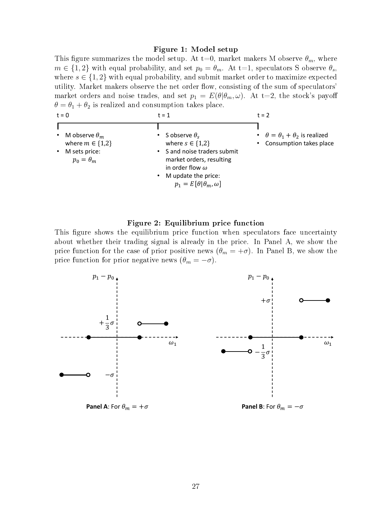#### <span id="page-26-0"></span>Figure 1: Model setup

This figure summarizes the model setup. At t=0, market makers M observe  $\theta_m$ , where  $m \in \{1, 2\}$  with equal probability, and set  $p_0 = \theta_m$ . At t=1, speculators S observe  $\theta_s$ , where  $s \in \{1,2\}$  with equal probability, and submit market order to maximize expected utility. Market makers observe the net order flow, consisting of the sum of speculators' market orders and noise trades, and set  $p_1 = E(\theta | \theta_m, \omega)$ . At t=2, the stock's payoff  $\theta = \theta_1 + \theta_2$  is realized and consumption takes place.

| $t = 0$                                                                            | $t = 1$                                                                                                                                                                                                             | $t = 2$                                                                         |  |  |
|------------------------------------------------------------------------------------|---------------------------------------------------------------------------------------------------------------------------------------------------------------------------------------------------------------------|---------------------------------------------------------------------------------|--|--|
| M observe $\theta_m$<br>where $m \in \{1,2\}$<br>M sets price:<br>$p_0 = \theta_m$ | S observe $\theta_{s}$<br>$\bullet$<br>where $s \in \{1,2\}$<br>• S and noise traders submit<br>market orders, resulting<br>in order flow $\omega$<br>• M update the price:<br>$p_1 = E[\theta   \theta_m, \omega]$ | $\cdot$ $\theta = \theta_1 + \theta_2$ is realized<br>• Consumption takes place |  |  |

#### <span id="page-26-1"></span>Figure 2: Equilibrium price function

This figure shows the equilibrium price function when speculators face uncertainty about whether their trading signal is already in the price. In Panel A, we show the price function for the case of prior positive news  $(\theta_m = +\sigma)$ . In Panel B, we show the price function for prior negative news  $(\theta_m = -\sigma)$ .

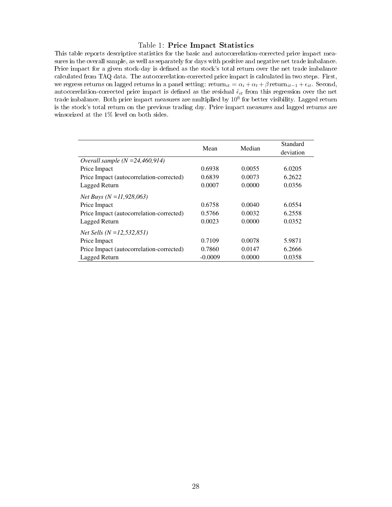#### <span id="page-27-0"></span>Table 1: Price Impact Statistics

This table reports descriptive statistics for the basic and autocorrelation-corrected price impact measures in the overall sample, as well as separately for days with positive and negative net trade imbalance. Price impact for a given stock-day is defined as the stock's total return over the net trade imbalance calculated from TAQ data. The autocorrelation-corrected price impact is calculated in two steps. First, we regress returns on lagged returns in a panel setting:  $\text{return}_{it} = \alpha_i + \alpha_t + \beta \text{ return}_{it-1} + \epsilon_{it}$ . Second, autocorrelation-corrected price impact is defined as the residual  $\hat{\epsilon}_{it}$  from this regression over the net trade imbalance. Both price impact measures are multiplied by  $10^6$  for better visibility. Lagged return is the stock's total return on the previous trading day. Price impact measures and lagged returns are winsorized at the 1% level on both sides.

|                                          | Mean      | Median | Standard<br>deviation |
|------------------------------------------|-----------|--------|-----------------------|
| Overall sample $(N = 24,460,914)$        |           |        |                       |
| Price Impact                             | 0.6938    | 0.0055 | 6.0205                |
| Price Impact (autocorrelation-corrected) | 0.6839    | 0.0073 | 6.2622                |
| Lagged Return                            | 0.0007    | 0.0000 | 0.0356                |
| <i>Net Buys</i> ( $N = 11,928,063$ )     |           |        |                       |
| Price Impact                             | 0.6758    | 0.0040 | 6.0554                |
| Price Impact (autocorrelation-corrected) | 0.5766    | 0.0032 | 6.2558                |
| Lagged Return                            | 0.0023    | 0.0000 | 0.0352                |
| <i>Net Sells (N = 12,532,851)</i>        |           |        |                       |
| Price Impact                             | 0.7109    | 0.0078 | 5.9871                |
| Price Impact (autocorrelation-corrected) | 0.7860    | 0.0147 | 6.2666                |
| Lagged Return                            | $-0.0009$ | 0.0000 | 0.0358                |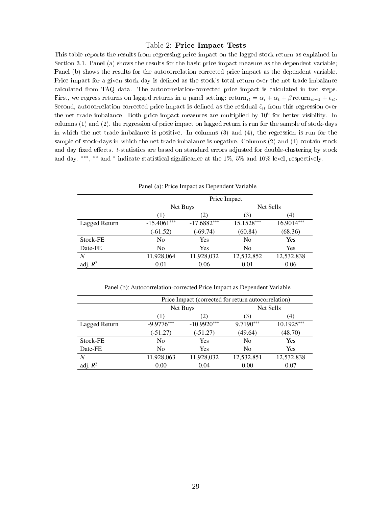#### <span id="page-28-0"></span>Table 2: Price Impact Tests

This table reports the results from regressing price impact on the lagged stock return as explained in Section [3.1.](#page-16-2) Panel (a) shows the results for the basic price impact measure as the dependent variable; Panel (b) shows the results for the autocorrelation-corrected price impact as the dependent variable. Price impact for a given stock-day is defined as the stock's total return over the net trade imbalance calculated from TAQ data. The autocorrelation-corrected price impact is calculated in two steps. First, we regress returns on lagged returns in a panel setting:  $return_{it} = \alpha_i + \alpha_t + \beta$  return<sub>it-1</sub> +  $\epsilon_{it}$ . Second, autocorrelation-corrected price impact is defined as the residual  $\hat{\epsilon}_{it}$  from this regression over the net trade imbalance. Both price impact measures are multiplied by 10<sup>6</sup> for better visibility. In columns (1) and (2), the regression of price impact on lagged return is run for the sample of stock-days in which the net trade imbalance is positive. In columns (3) and (4), the regression is run for the sample of stock-days in which the net trade imbalance is negative. Columns (2) and (4) contain stock and day fixed effects.  $t$ -statistics are based on standard errors adjusted for double-clustering by stock and day. \*\*\*, \*\* and \* indicate statistical significance at the 1%, 5% and 10% level, respectively.

| I and (a). I not impact as Dependent variable |                |               |                |            |  |  |
|-----------------------------------------------|----------------|---------------|----------------|------------|--|--|
|                                               |                | Price Impact  |                |            |  |  |
|                                               |                | Net Buys      |                | Net Sells  |  |  |
|                                               | (1)            | (2)           | (3)            | (4)        |  |  |
| Lagged Return                                 | $-15.4061***$  | $-17.6882***$ | 15.1528***     | 16.9014*** |  |  |
|                                               | $(-61.52)$     | $(-69.74)$    | (60.84)        | (68.36)    |  |  |
| Stock-FE                                      | N <sub>0</sub> | Yes           | N <sub>0</sub> | Yes        |  |  |
| Date-FE                                       | N <sub>0</sub> | <b>Yes</b>    | N <sub>0</sub> | Yes        |  |  |
| N                                             | 11,928,064     | 11,928,032    | 12,532,852     | 12,532,838 |  |  |
| adj. $R^2$                                    | 0.01           | 0.06          | 0.01           | 0.06       |  |  |

Panel (a): Price Impact as Dependent Variable

Panel (b): Autocorrelation-corrected Price Impact as Dependent Variable

|               | Price Impact (corrected for return autocorrelation) |               |                |              |  |
|---------------|-----------------------------------------------------|---------------|----------------|--------------|--|
|               |                                                     | Net Buys      |                | Net Sells    |  |
|               | Ί۱                                                  | (2)           | (3)            | (4)          |  |
| Lagged Return | $-9.9776***$                                        | $-10.9920***$ | 9.7190***      | $10.1925***$ |  |
|               | $(-51.27)$                                          | $(-51.27)$    | (49.64)        | (48.70)      |  |
| Stock-FE      | No                                                  | Yes           | No             | Yes          |  |
| Date-FE       | N <sub>0</sub>                                      | Yes           | N <sub>0</sub> | Yes          |  |
| N             | 11,928,063                                          | 11,928,032    | 12,532,851     | 12,532,838   |  |
| adj. $R^2$    | 0.00                                                | 0.04          | 0.00           | 0.07         |  |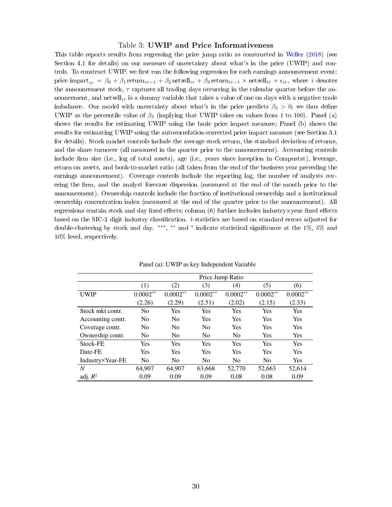#### <span id="page-29-0"></span>Table 3: UWIP and Price Informativeness

This table reports results from regressing the price jump ratio as constructed in [Weller](#page-25-6) [\(2018\)](#page-25-6) (see Section [4.1](#page-19-0) for details) on our measure of uncertainty about what's in the price (UWIP) and controls. To construct UWIP, we first run the following regression for each earnings announcement event: price impact<sub>i $\tau = \beta_0 + \beta_1$  return<sub>i</sub><sub>τ-1</sub> +  $\beta_2$  netsell<sub>iτ</sub> +  $\beta_3$  return<sub>i</sub><sub>τ-1</sub> × netsell<sub>i</sub><sub>τ</sub> +  $\epsilon_{i\tau}$ , where *i* denotes</sub> the announcement stock,  $\tau$  captures all trading days occurring in the calendar quarter before the announcement, and netsell<sub>ix</sub> is a dummy variable that takes a value of one on days with a negative trade imbalance. Our model with uncertainty about what's in the price predicts  $\beta_3 > 0$ ; we thus define UWIP as the percentile value of  $\beta_3$  (implying that UWIP takes on values from 1 to 100). Panel (a) shows the results for estimating UWIP using the basic price impact measure; Panel (b) shows the results for estimating UWIP using the autocorrelation-corrected price impact measure (see Section [3.1](#page-16-2) for details). Stock market controls include the average stock return, the standard deviation of returns, and the share turnover (all measured in the quarter prior to the announcement). Accounting controls include firm size (i.e., log of total assets), age (i.e., years since inception in Compustat), leverage, return on assets, and book-to-market ratio (all taken from the end of the business year preceding the earnings announcement). Coverage controls include the reporting lag, the number of analysts covering the firm, and the analyst forecase dispersion (measured at the end of the month prior to the announcement). Ownership controls include the fraction of institutional ownership and a institutional ownership concentration index (measured at the end of the quarter prior to the announcement). All regressions contain stock and day fixed effects; column  $(6)$  further includes industry  $\times$ year fixed effects based on the SIC-2 digit industry classication. t-statistics are based on standard errors adjusted for double-clustering by stock and day. \*\*\*, \*\* and \* indicate statistical significance at the 1%, 5% and 10% level, respectively.

|                   | Price Jump Ratio |                |                |                |                |            |
|-------------------|------------------|----------------|----------------|----------------|----------------|------------|
|                   |                  |                |                |                |                |            |
|                   | (1)              | (2)            | (3)            | (4)            | (5)            | (6)        |
| <b>UWIP</b>       | $0.0002**$       | $0.0002**$     | $0.0002**$     | $0.0002**$     | $0.0002**$     | $0.0002**$ |
|                   | (2.26)           | (2.29)         | (2.51)         | (2.02)         | (2.15)         | (2.33)     |
| Stock mkt contr.  | N <sub>0</sub>   | Yes            | Yes            | Yes            | Yes            | Yes        |
| Accounting contr. | N <sub>0</sub>   | N <sub>0</sub> | Yes            | Yes            | Yes            | <b>Yes</b> |
| Coverage contr.   | N <sub>0</sub>   | N <sub>0</sub> | N <sub>0</sub> | Yes            | Yes            | Yes        |
| Ownership contr.  | N <sub>o</sub>   | N <sub>0</sub> | N <sub>0</sub> | N <sub>0</sub> | Yes            | <b>Yes</b> |
| Stock-FE          | Yes              | Yes            | Yes            | Yes            | <b>Yes</b>     | <b>Yes</b> |
| Date-FE           | Yes              | Yes            | Yes            | Yes            | <b>Yes</b>     | Yes        |
| Industry×Year-FE  | N <sub>0</sub>   | N <sub>0</sub> | N <sub>0</sub> | N <sub>0</sub> | N <sub>0</sub> | <b>Yes</b> |
| $\overline{N}$    | 64,907           | 64,907         | 63,668         | 52,770         | 52,663         | 52,614     |
| adj. $R^2$        | 0.09             | 0.09           | 0.09           | 0.08           | 0.08           | 0.09       |

Panel (a): UWIP as key Independent Variable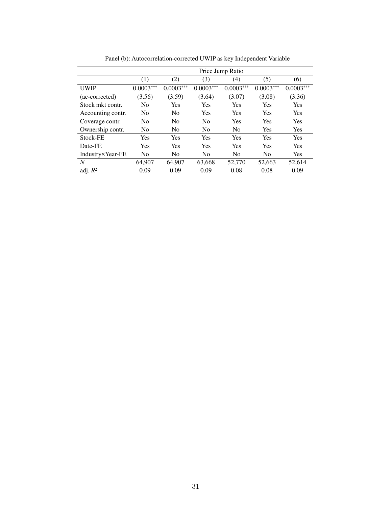|                   | Price Jump Ratio |                |                |                |                |             |
|-------------------|------------------|----------------|----------------|----------------|----------------|-------------|
|                   | (1)              | (2)            | (3)            | (4)            | (5)            | (6)         |
| <b>UWIP</b>       | $0.0003***$      | $0.0003***$    | $0.0003***$    | $0.0003***$    | $0.0003***$    | $0.0003***$ |
| (ac-corrected)    | (3.56)           | (3.59)         | (3.64)         | (3.07)         | (3.08)         | (3.36)      |
| Stock mkt contr.  | N <sub>0</sub>   | Yes            | Yes            | Yes            | Yes            | Yes         |
| Accounting contr. | N <sub>0</sub>   | No             | Yes            | Yes            | Yes            | Yes         |
| Coverage contr.   | N <sub>0</sub>   | N <sub>0</sub> | N <sub>0</sub> | Yes            | Yes            | Yes         |
| Ownership contr.  | N <sub>0</sub>   | N <sub>0</sub> | N <sub>0</sub> | N <sub>0</sub> | Yes            | Yes         |
| Stock-FE          | Yes              | Yes            | Yes            | Yes            | Yes            | Yes         |
| Date-FE           | Yes              | Yes            | Yes            | Yes            | Yes            | <b>Yes</b>  |
| Industry×Year-FE  | N <sub>0</sub>   | No             | N <sub>0</sub> | No             | N <sub>0</sub> | Yes         |
| $\overline{N}$    | 64,907           | 64,907         | 63,668         | 52,770         | 52,663         | 52,614      |
| adj. $R^2$        | 0.09             | 0.09           | 0.09           | 0.08           | 0.08           | 0.09        |

Panel (b): Autocorrelation-corrected UWIP as key Independent Variable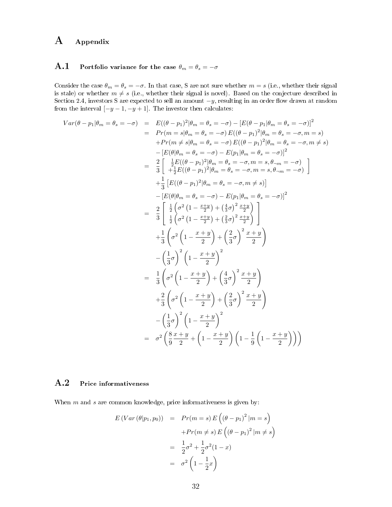## A Appendix

### <span id="page-31-0"></span>A.1 Portfolio variance for the case  $\theta_m = \theta_s = -\sigma$

Consider the case  $\theta_m = \theta_s = -\sigma$ . In that case, S are not sure whether  $m = s$  (i.e., whether their signal is stale) or whether  $m \neq s$  (i.e., whether their signal is novel). Based on the conjecture described in Section 2.4, investors S are expected to sell an amount  $-y$ , resulting in an order flow drawn at random from the interval  $[-y-1, -y+1]$ . The investor then calculates:

$$
Var(\theta - p_1|\theta_m = \theta_s = -\sigma) = E((\theta - p_1)^2|\theta_m = \theta_s = -\sigma) - [E(\theta - p_1|\theta_m = \theta_s = -\sigma)]^2
$$
  
\n
$$
= Pr(m = s|\theta_m = \theta_s = -\sigma) E((\theta - p_1)^2|\theta_m = \theta_s = -\sigma, m = s)
$$
  
\n
$$
+ Pr(m \neq s|\theta_m = \theta_s = -\sigma) E((\theta - p_1)^2|\theta_m = \theta_s = -\sigma, m = s)
$$
  
\n
$$
- [E(\theta|\theta_m = \theta_s = -\sigma) - E(p_1|\theta_m = \theta_s = -\sigma)]^2
$$
  
\n
$$
= \frac{2}{3} \left[ \frac{\frac{1}{2}E((\theta - p_1)^2|\theta_m = \theta_s = -\sigma, m = s, \theta_{-m} = -\sigma)}{\frac{1}{2} + \frac{1}{2}E((\theta - p_1)^2|\theta_m = \theta_s = -\sigma, m = s, \theta_{-m} = -\sigma)} \right]
$$
  
\n
$$
+ \frac{1}{3} [E((\theta - p_1)^2|\theta_m = \theta_s = -\sigma, m \neq s)]
$$
  
\n
$$
- [E(\theta|\theta_m = \theta_s = -\sigma) - E(p_1|\theta_m = \theta_s = -\sigma)]^2
$$
  
\n
$$
= \frac{2}{3} \left[ \frac{\frac{1}{2} (\sigma^2 (1 - \frac{x+y}{2}) + (\frac{4}{3}\sigma)^2 \frac{x+y}{2})}{\frac{1}{2} (\sigma^2 (1 - \frac{x+y}{2}) + (\frac{2}{3}\sigma)^2 \frac{x+y}{2})} \right]
$$
  
\n
$$
- (\frac{1}{3}\sigma)^2 (1 - \frac{x+y}{2})^2
$$
  
\n
$$
= \frac{1}{3} (\sigma^2 (1 - \frac{x+y}{2}) + (\frac{4}{3}\sigma)^2 \frac{x+y}{2})
$$
  
\n
$$
+ \frac{2}{3} (\sigma^2 (1 - \frac{x+y}{2}) + (\frac{4}{3}\sigma)^2 \frac{x+y}{2})
$$
  
\n
$$
- (\frac{1}{3}\sigma)^2 (1 - \frac{x+y}{2})^2
$$
  
\n
$$
= \sigma^2 (\frac{8x+y}{9 - 2} + (1 - \frac
$$

### A.2 Price informativeness

When  $m$  and  $s$  are common knowledge, price informativeness is given by:

$$
E(Var (\theta | p_1, p_0)) = Pr(m = s) E((\theta - p_1)^2 | m = s)
$$

$$
+ Pr(m \neq s) E((\theta - p_1)^2 | m \neq s)
$$

$$
= \frac{1}{2}\sigma^2 + \frac{1}{2}\sigma^2(1 - x)
$$

$$
= \sigma^2 (1 - \frac{1}{2}x)
$$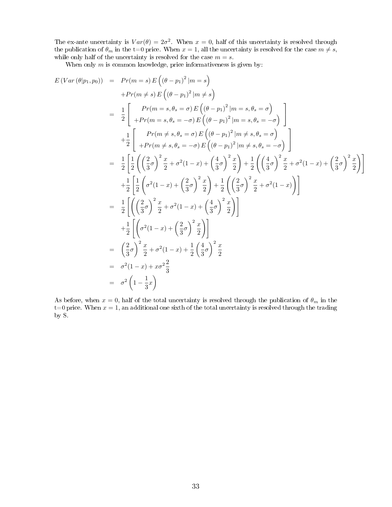The ex-ante uncertainty is  $Var(\theta) = 2\sigma^2$ . When  $x = 0$ , half of this uncertainty is resolved through the publication of  $\theta_m$  in the t=0 price. When  $x = 1,$  all the uncertainty is resolved for the case  $m \neq s,$ while only half of the uncertainty is resolved for the case  $m = s$ .

When only  $m$  is common knowledge, price informativeness is given by:  $\overline{\phantom{a}}$ 

$$
E(Var (\theta | p_1, p_0)) = Pr(m = s) E((\theta - p_1)^2 | m = s)
$$
  
+
$$
Pr(m \neq s) E((\theta - p_1)^2 | m \neq s)
$$
  
= 
$$
\frac{1}{2} \begin{bmatrix} Pr(m = s, \theta_s = \sigma) E((\theta - p_1)^2 | m = s, \theta_s = \sigma) \\ +Pr(m = s, \theta_s = -\sigma) E((\theta - p_1)^2 | m = s, \theta_s = -\sigma) \end{bmatrix}
$$
  
+
$$
\frac{1}{2} \begin{bmatrix} Pr(m \neq s, \theta_s = \sigma) E((\theta - p_1)^2 | m \neq s, \theta_s = \sigma) \\ +Pr(m \neq s, \theta_s = -\sigma) E((\theta - p_1)^2 | m \neq s, \theta_s = \sigma) \end{bmatrix}
$$
  
= 
$$
\frac{1}{2} \begin{bmatrix} \frac{1}{2} ((\frac{2}{3}\sigma)^2 \frac{x}{2} + \sigma^2(1 - x) + (\frac{4}{3}\sigma)^2 \frac{x}{2}) + \frac{1}{2} ((\frac{4}{3}\sigma)^2 \frac{x}{2} + \sigma^2(1 - x) + (\frac{2}{3}\sigma)^2 \frac{x}{2}) \end{bmatrix}
$$
  
+
$$
\frac{1}{2} \begin{bmatrix} \frac{1}{2} (\sigma^2(1 - x) + (\frac{2}{3}\sigma)^2 \frac{x}{2}) + \frac{1}{2} ((\frac{2}{3}\sigma)^2 \frac{x}{2} + \sigma^2(1 - x)) \end{bmatrix}
$$
  
= 
$$
\frac{1}{2} \left[ ((\frac{2}{3}\sigma)^2 \frac{x}{2} + \sigma^2(1 - x) + (\frac{4}{3}\sigma)^2 \frac{x}{2}) \right]
$$
  
+
$$
\frac{1}{2} \left[ (\sigma^2(1 - x) + (\frac{2}{3}\sigma)^2 \frac{x}{2}) \right]
$$
  
= 
$$
(\frac{2}{3}\sigma)^2 \frac{x}{2} + \sigma^2(1 - x) + \frac{1}{2} (\frac{4}{3}\sigma)^2 \frac{x}{2}
$$
  
= 
$$
\sigma^2(1 - x) + x\sigma^2 \frac{2}{3}
$$
  
= 
$$
\sigma^2 (1 - \frac{1}{3}x)
$$

As before, when  $x = 0$ , half of the total uncertainty is resolved through the publication of  $\theta_m$  in the t=0 price. When  $x = 1$ , an additional one sixth of the total uncertainty is resolved through the trading by S.